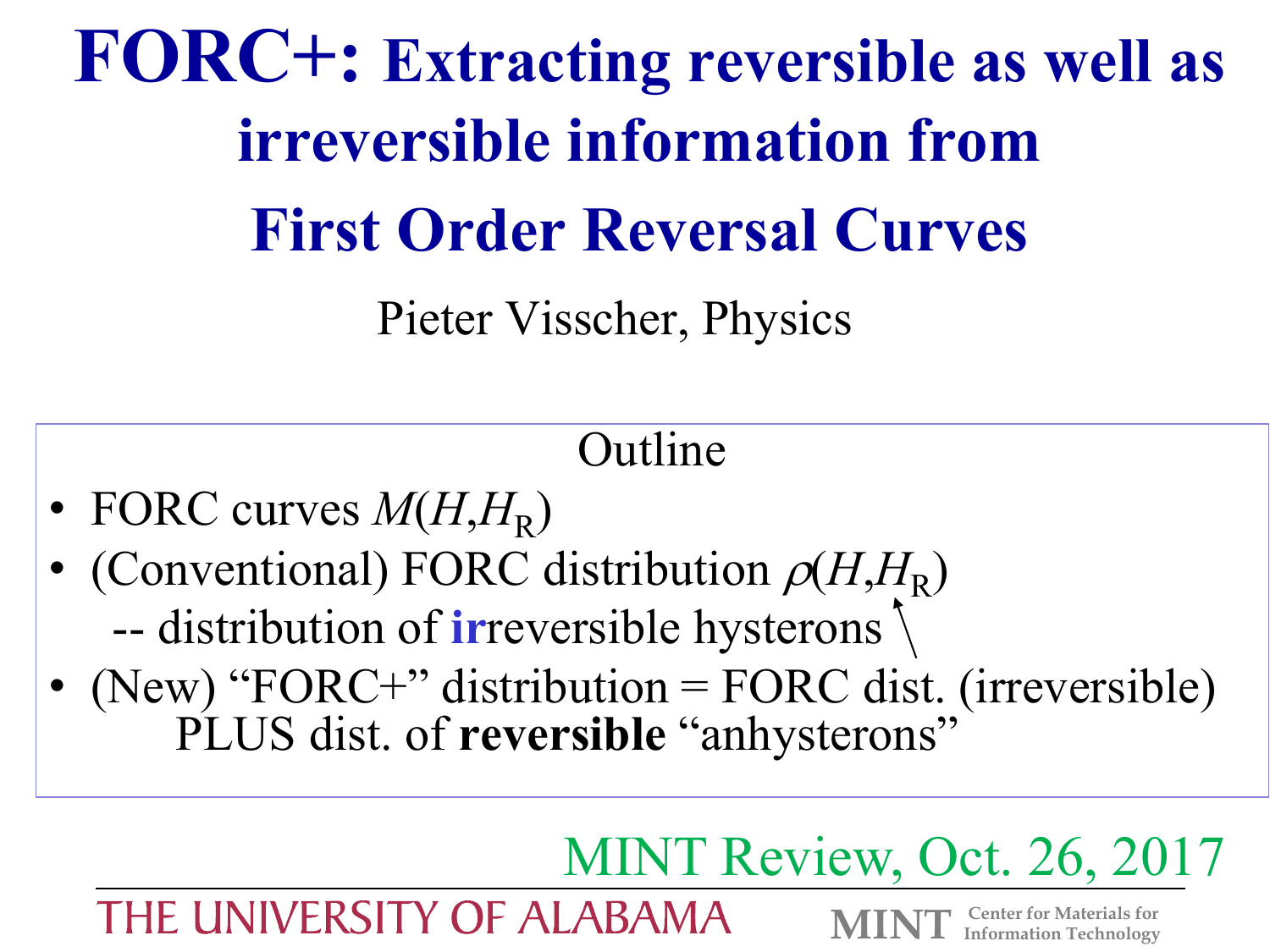**FORC+: Extracting reversible as well as irreversible information from First Order Reversal Curves**

Pieter Visscher, Physics

# Outline

- FORC curves  $M(H, H_R)$
- (Conventional) FORC distribution  $\rho(H, H_R)$ -- distribution of **ir**reversible hysterons
- (New) "FORC+" distribution = FORC dist. (irreversible) PLUS dist. of **reversible** "anhysterons"

# MINT Review, Oct. 26, 2017

THE UNIVERSITY OF ALABAMA

**Center for Materials for MINT Information Technology**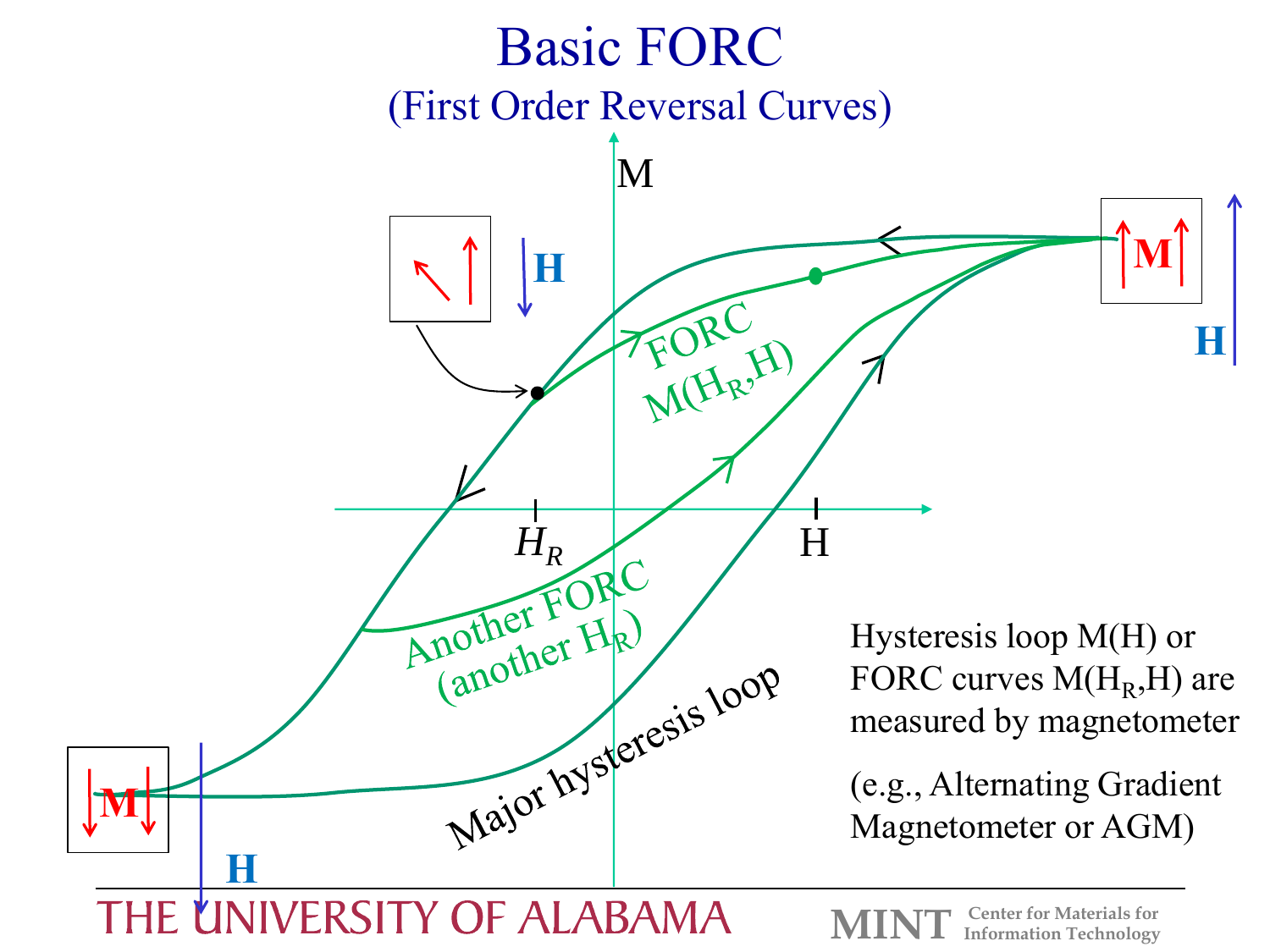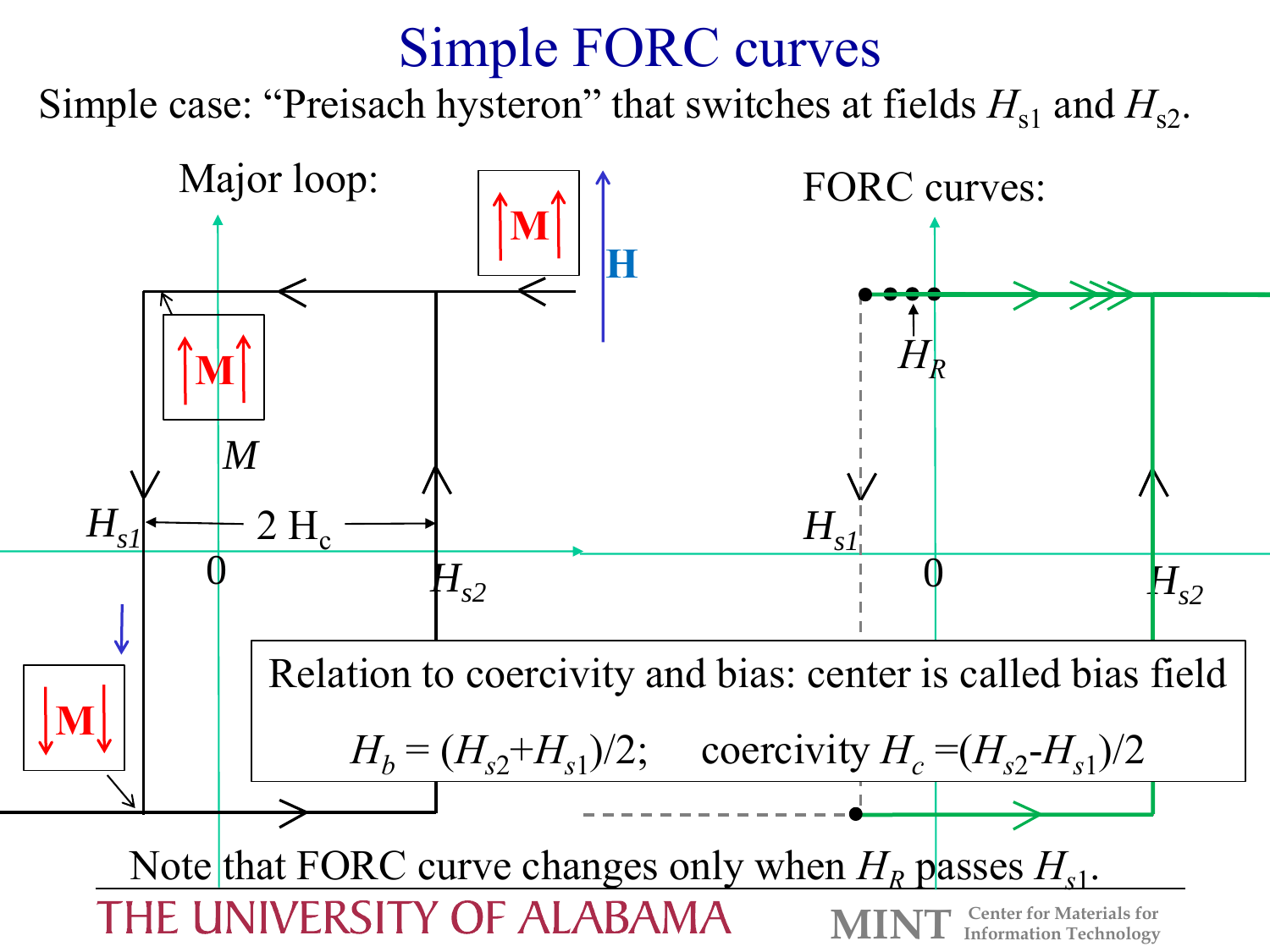### Simple FORC curves

Simple case: "Preisach hysteron" that switches at fields  $H_{s1}$  and  $H_{s2}$ .

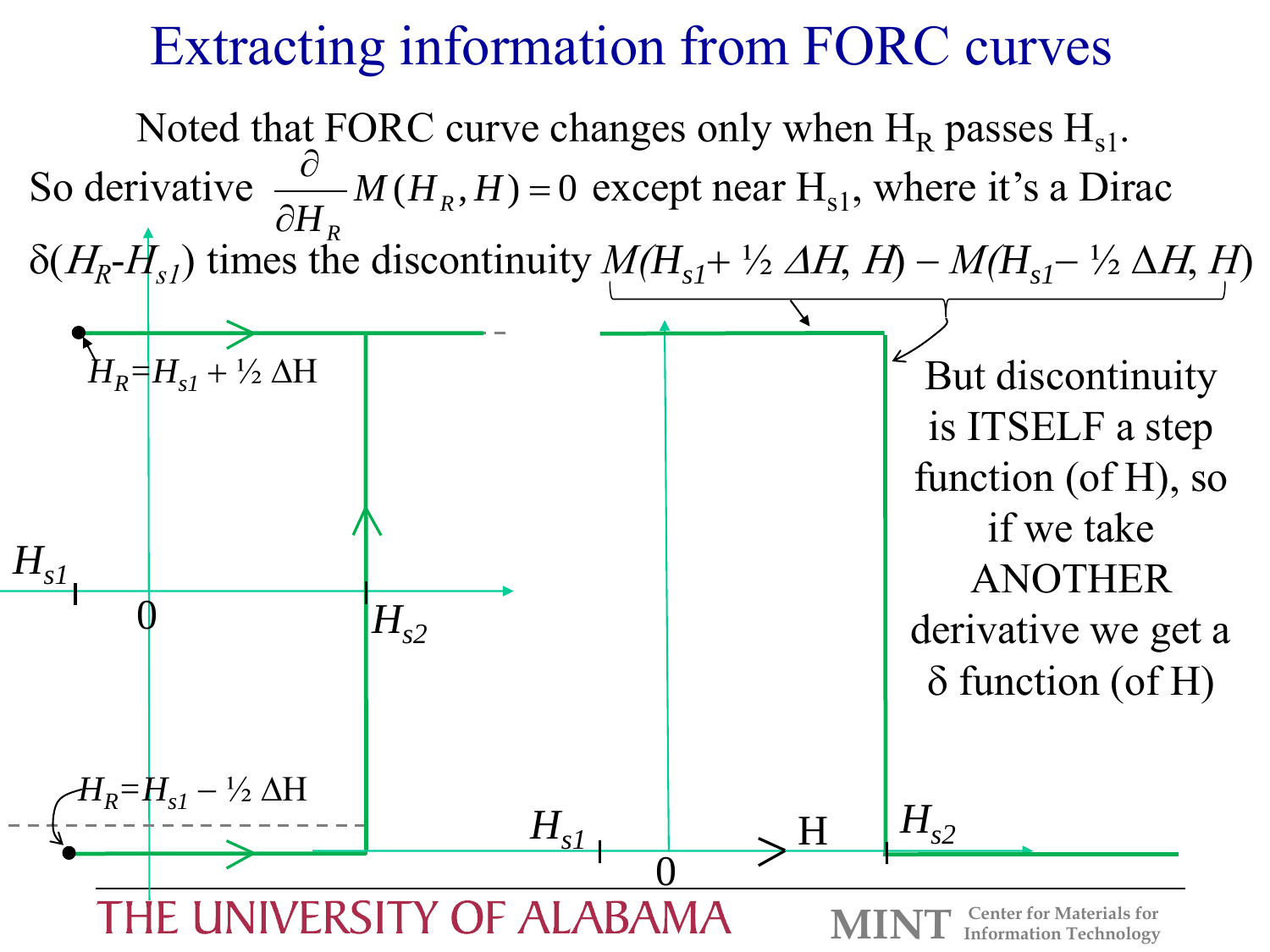### Extracting information from FORC curves

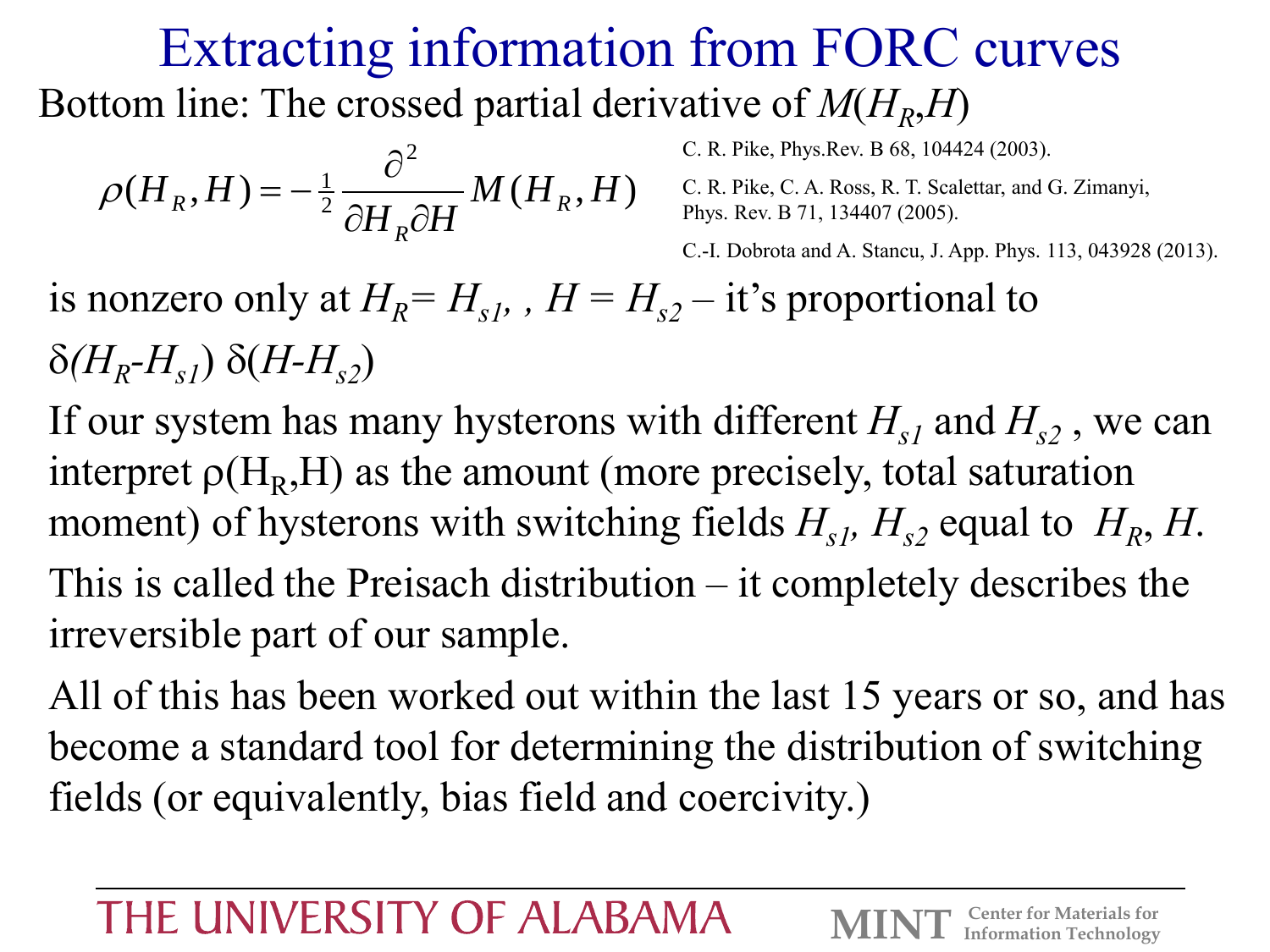### Extracting information from FORC curves Bottom line: The crossed partial derivative of  $M(H_R, H)$

$$
\rho(H_R, H) = -\frac{1}{2} \frac{\partial^2}{\partial H_R \partial H} M(H_R, H)
$$
\nC. R. Pike, Ch. R. Pike, C. A. Ross, R. T. Sea  
\nPhys. Rev. B 71, 134407 (2005).

C. R. Pike, Phys.Rev. B 68, 104424 (2003).

 $\frac{1}{2} \frac{1}{2 \times 1} M(H_R, H)$  C. R. Pike, C. A. Ross, R. T. Scalettar, and G. Zimanyi,

C.-I. Dobrota and A. Stancu, J. App. Phys. 113, 043928 (2013).

is nonzero only at  $H_R = H_{s1}$ ,  $H = H_{s2} - i$  t's proportional to  $\delta$ (*H<sub>R</sub>*-*H*<sub>s1</sub>)  $\delta$ (*H*-*H*<sub>s2</sub>)

If our system has many hysterons with different  $H_{\rm d}$  and  $H_{\rm d}$ , we can interpret  $\rho(H_R, H)$  as the amount (more precisely, total saturation moment) of hysterons with switching fields  $H_{s1}$ ,  $H_{s2}$  equal to  $H_R$ ,  $H$ . This is called the Preisach distribution – it completely describes the irreversible part of our sample.

All of this has been worked out within the last 15 years or so, and has become a standard tool for determining the distribution of switching fields (or equivalently, bias field and coercivity.)

#### THE UNIVERSITY OF ALABAMA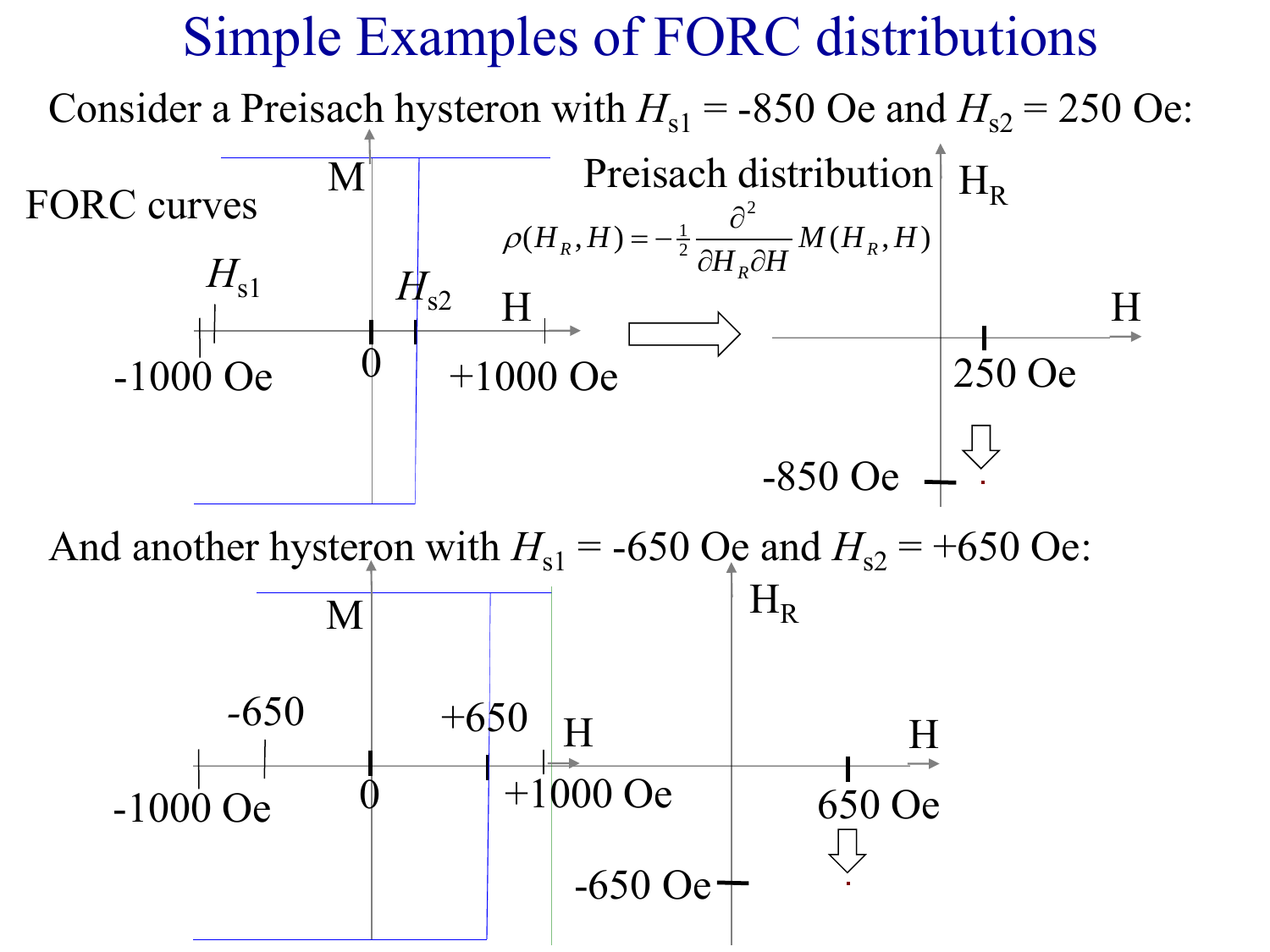#### Simple Examples of FORC distributions Consider a Preisach hysteron with  $H<sub>s1</sub> = -850$  Oe and  $H<sub>s2</sub> = 250$  Oe: -1000 Oe  $H_{s1}$  |  $H_{s2}$ +1000 Oe  $(H_R, H) = -\frac{1}{2} \frac{C}{2\pi\epsilon_0} M(H_R, H)$ 2  $\frac{1}{2} \frac{\nu}{2H \cdot 2H} M(H_R, H)$ *H H*  $H_R$ ,  $H$ ) =  $-\frac{1}{2} \frac{C}{2H_1 2H} M(H_R, H)$  $R$ <sup>, 11</sup>) –  $\frac{1}{2}$   $\frac{\partial H_R}{\partial H}$   $\frac{\partial H}{\partial H}$   $\frac{(H_R, H)}{H}$  $\hat{\sigma}^2$   $\sim$   $\sim$   $\sim$   $\sim$  $\rho(H_R, H) = -\frac{1}{2} \frac{C}{2H} M(H_R, H)$ M  $\dot{\mathbb{Q}}$  $H$ ,  $\longrightarrow$  H Preisach distribution  $H_R$  $-850$  Oe  $-$ 250 Oe -1000 Oe  $-650$  +650 H  $+1000$  Oe M  $\dot{\mathbb{Q}}$  $+650$  H H  $H_R$ -650 Oe 650 Oe And another hysteron with  $H_{s1} = -650$  Oe and  $H_{s2} = +650$  Oe: FORC curves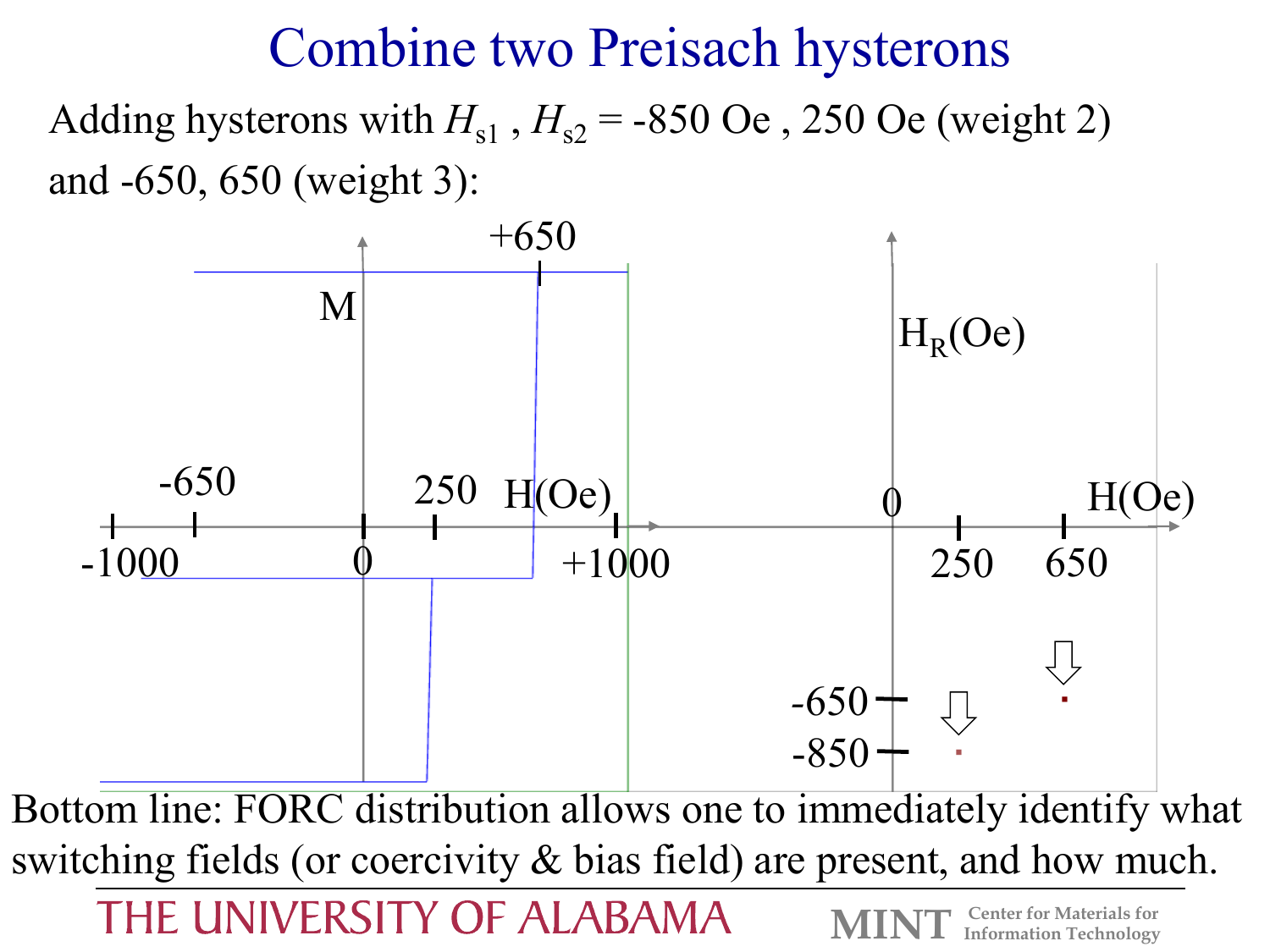#### Combine two Preisach hysterons

Adding hysterons with  $H_{s1}$ ,  $H_{s2}$  = -850 Oe, 250 Oe (weight 2) and -650, 650 (weight 3):



THE UNIVERSITY OF ALABAMA

**Center for Materials for<br>
<b>Information Technology**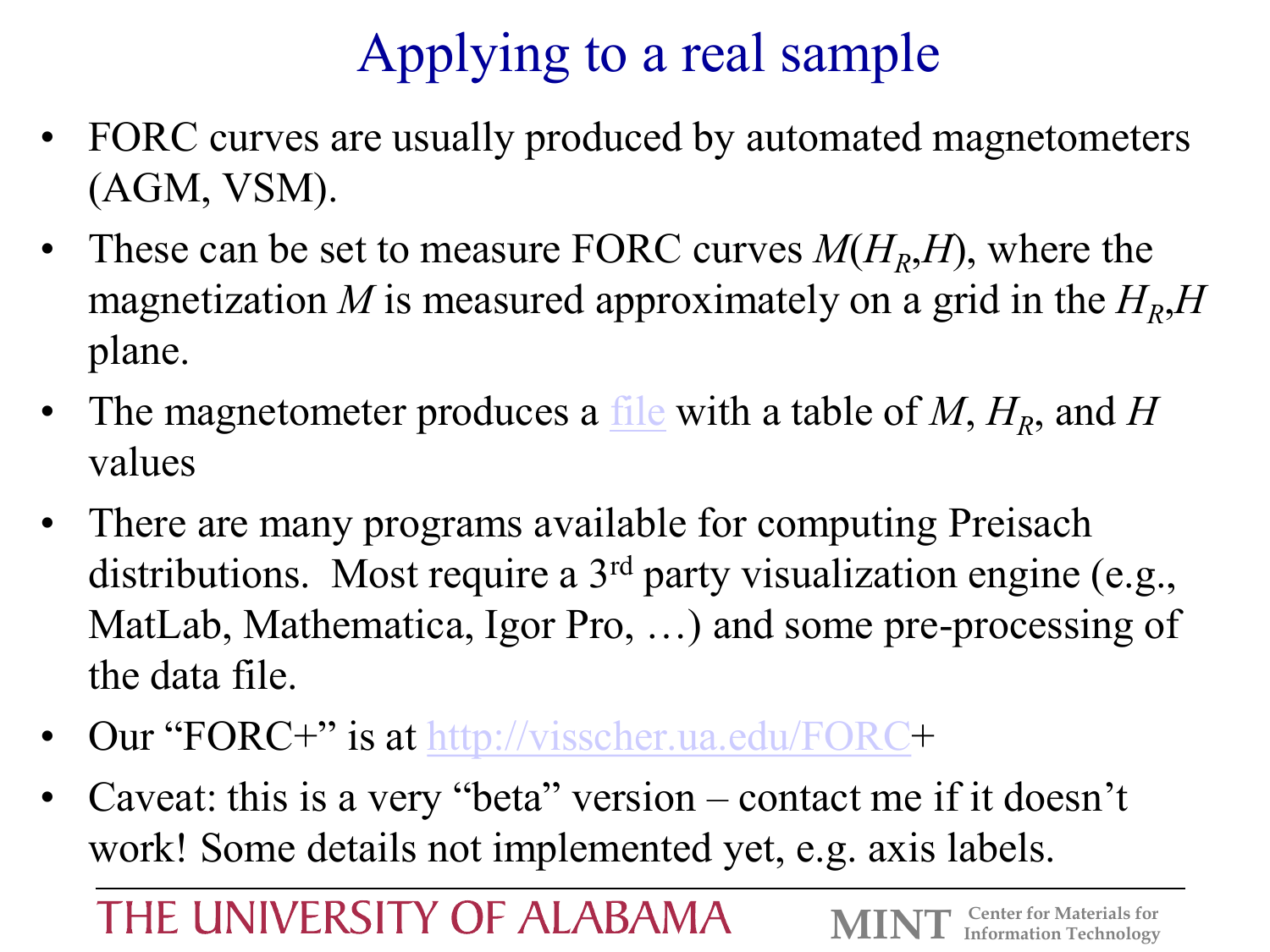# Applying to a real sample

- FORC curves are usually produced by automated magnetometers (AGM, VSM).
- These can be set to measure FORC curves  $M(H_R,H)$ , where the magnetization *M* is measured approximately on a grid in the  $H_R$ ,  $H$ plane.
- The magnetometer produces a <u>[file](DemoFolder)</u> with a table of M,  $H_R$ , and H values
- There are many programs available for computing Preisach distributions. Most require a 3<sup>rd</sup> party visualization engine (e.g., MatLab, Mathematica, Igor Pro, …) and some pre-processing of the data file.
- Our "FORC+" is at [http://visscher.ua.edu/FORC+](http://visscher.ua.edu/FORC)
- Caveat: this is a very "beta" version contact me if it doesn't work! Some details not implemented yet, e.g. axis labels.

THE UNIVERSITY OF ALABAMA

**Center for Materials for<br>
<b>Information Technology**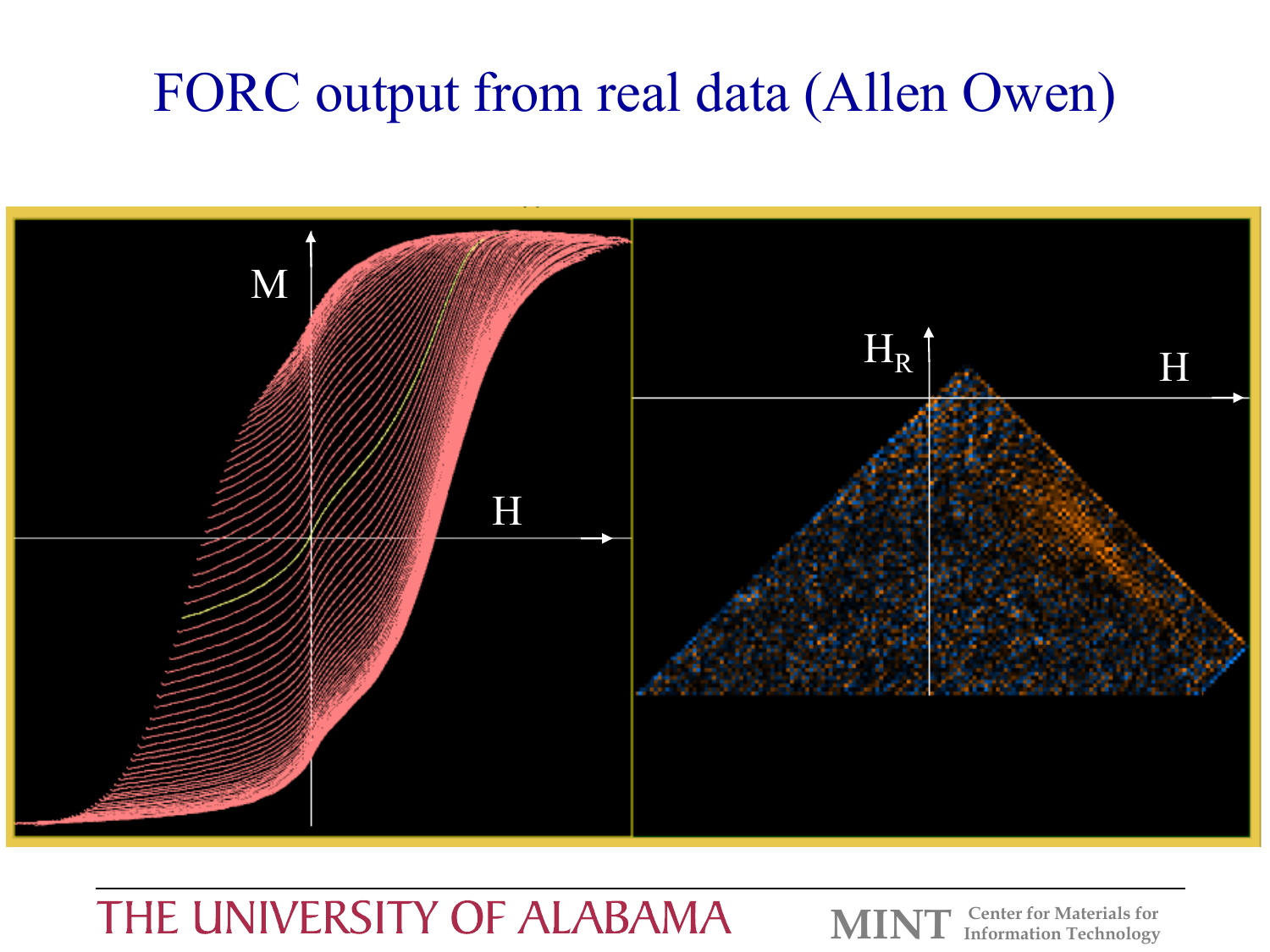# FORC output from real data (Allen Owen)



#### THE UNIVERSITY OF ALABAMA

**Center for Materials for Information Technology**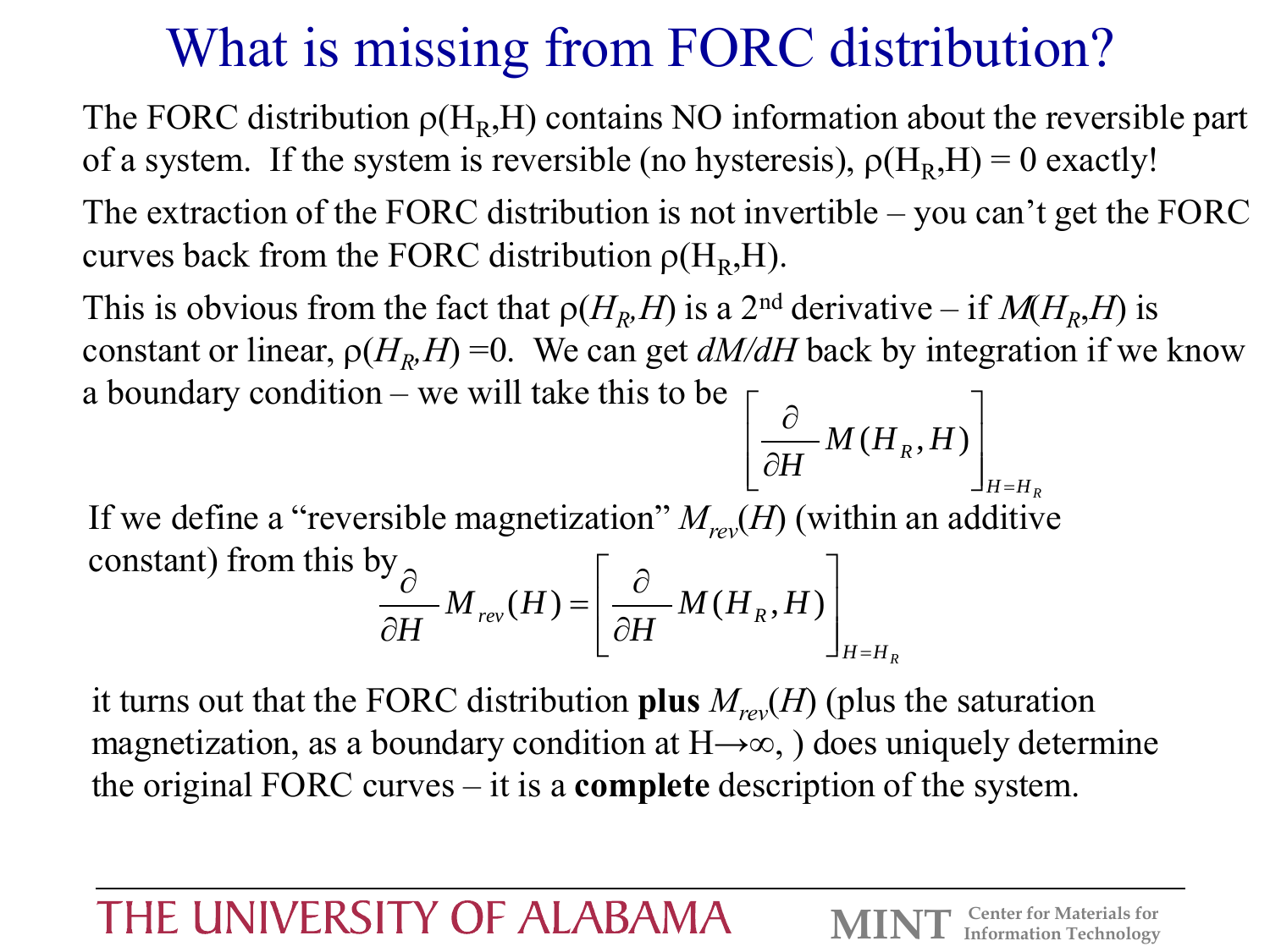# What is missing from FORC distribution?

The FORC distribution  $\rho(H_R, H)$  contains NO information about the reversible part of a system. If the system is reversible (no hysteresis),  $\rho(H_R, H) = 0$  exactly!

The extraction of the FORC distribution is not invertible – you can't get the FORC curves back from the FORC distribution  $\rho(H_R, H)$ .

This is obvious from the fact that  $\rho(H_R, H)$  is a 2<sup>nd</sup> derivative – if  $M(H_R, H)$  is constant or linear,  $\rho(H_R^I)$ constant or linear,  $\rho(H_R, H) = 0$ . We can get  $dM/dH$  back by integration if we know a boundary condition – we will take this to be  $\mathcal{L} = \{ \mathcal{L} \}$   $\partial$   $\overline{M(U, U)}$ 

If we define a "reversible magnetization"  $M_{rev}(H)$  (within an additive constant) from this by  $H = H_R$ *H*  $\left[ \partial H \right]$  $H = H_R$  $H_{rev}(H) = \left( \frac{U}{2H} M(H_R, H) \right)$ *H*  $M_{rev}(H) = \frac{C}{2\pi r} M(H_R, H)$  $H \left[\begin{array}{c} \partial H \end{array}\right]_{H=H_R}$  $\mathcal{L}^{\text{max}}$  $\left[ \partial H \right]$  $\begin{array}{ccc} \circ & \circ & \circ \end{array}$  $\partial H$   $\left\| \left\| \left\| \left( \frac{1}{R}, \frac{1}{R}, \frac{1}{R} \right) \right| \right\|_{\infty}$  $\partial$   $\overline{M(H,H)}$  $=\left[\frac{C}{2\pi\epsilon}M(H_{R},H)\right]$  $\partial H$  is the vertex  $\partial H$  $\partial$   $\partial$  $(H) = \frac{C}{2L} M(H_R, H)$ 

it turns out that the FORC distribution **plus**  $M_{rev}(H)$  (plus the saturation magnetization, as a boundary condition at  $H\rightarrow\infty$ , ) does uniquely determine the original FORC curves – it is a **complete** description of the system.

#### THE UNIVERSITY OF ALABAMA

 $M(H_R, H)$ 

 $(H_R, H)$ 

 $\partial H$   $\left\| \left\| \left\| \left( \mathbf{r} \mathbf{R} \right) \right\| \right\| \right\|$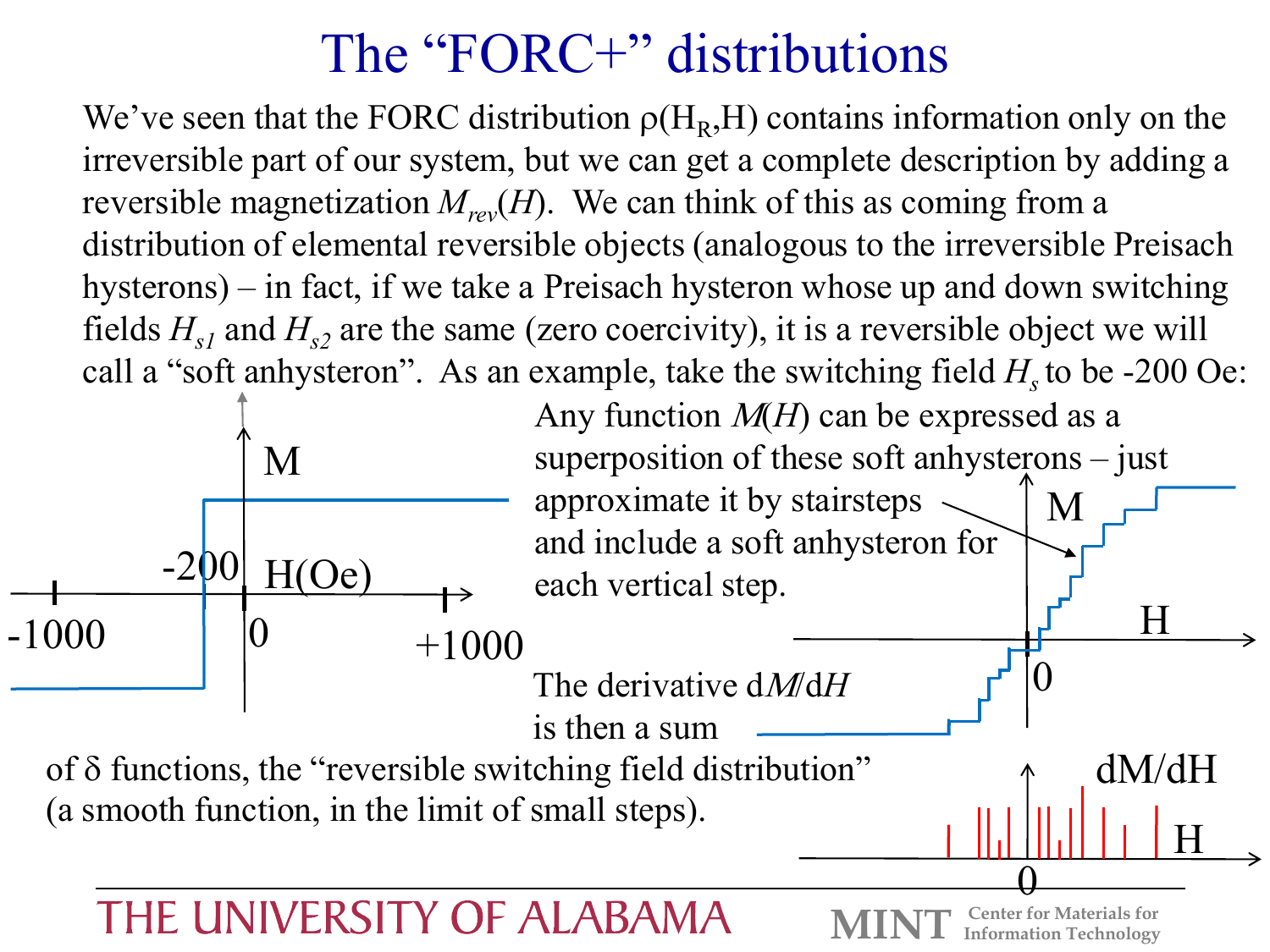## The "FORC+" distributions

We've seen that the FORC distribution  $\rho(H_R, H)$  contains information only on the irreversible part of our system, but we can get a complete description by adding a reversible magnetization  $M_{rev}(H)$ . We can think of this as coming from a distribution of elemental reversible objects (analogous to the irreversible Preisach hysterons) – in fact, if we take a Preisach hysteron whose up and down switching fields  $H_{s1}$  and  $H_{s2}$  are the same (zero coercivity), it is a reversible object we will call a "soft anhysteron". As an example, take the switching field  $H<sub>s</sub>$  to be -200 Oe:



Any function  $M(H)$  can be expressed as a superposition of these soft anhysterons – just approximate it by stairsteps  $\sim$ and include a soft anhysteron for each vertical step. H M

**Center for Materials for Information Technology** 

 $\boldsymbol{0}$ 

 $\underline{\mathrm{H}}$ 

dM/dH

0

The derivative dM/d*H*

is then a sum

of  $\delta$  functions, the "reversible switching field distribution" (a smooth function, in the limit of small steps).

#### THE UNIVERSITY OF ALABAMA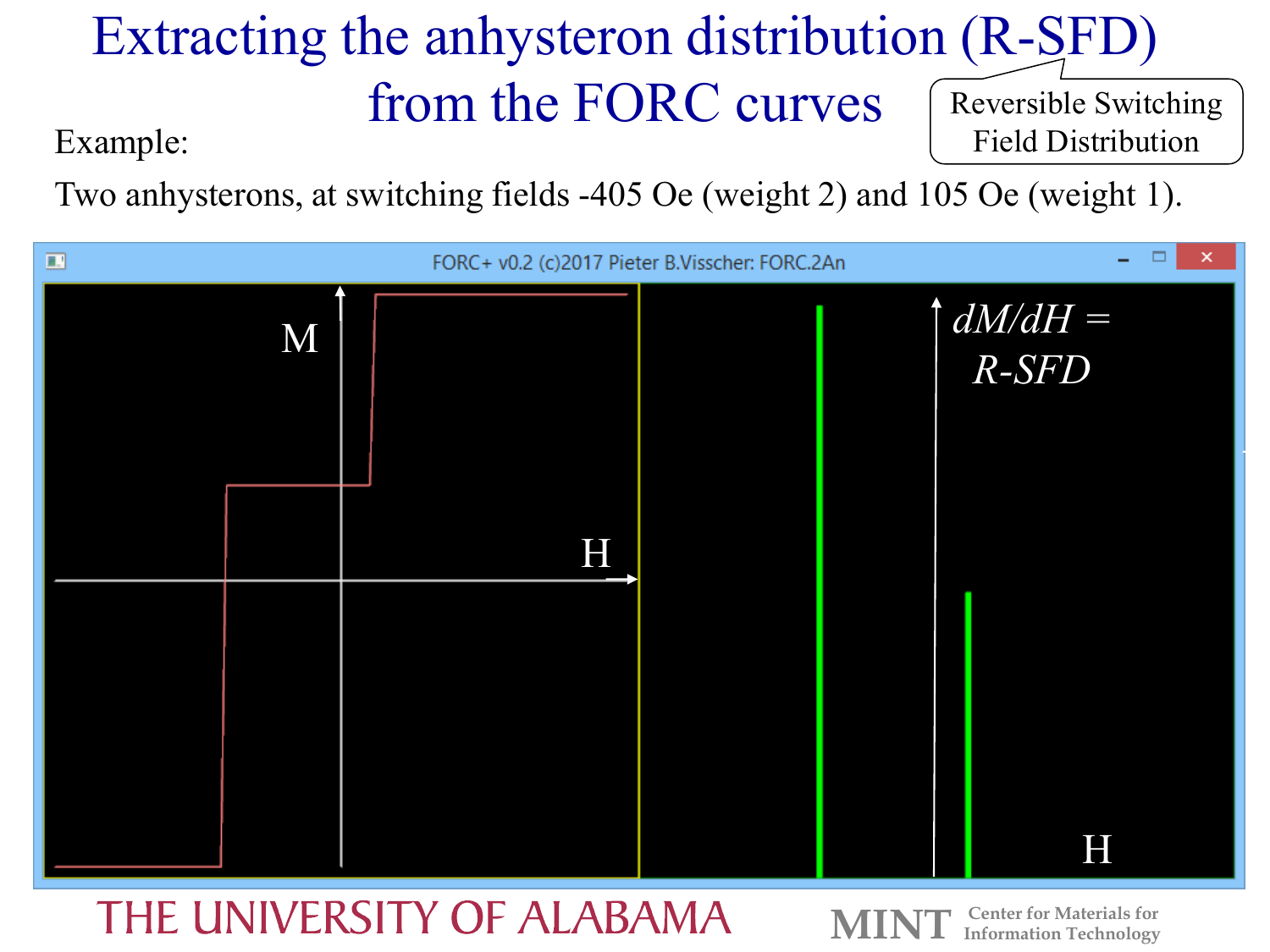#### Extracting the anhysteron distribution (R-SFD) from the FORC curves Reversible Switching Field Distribution

Example:

Two anhysterons, at switching fields -405 Oe (weight 2) and 105 Oe (weight 1).



#### THE UNIVERSITY OF ALABAMA

**Center for Materials for Information Technology**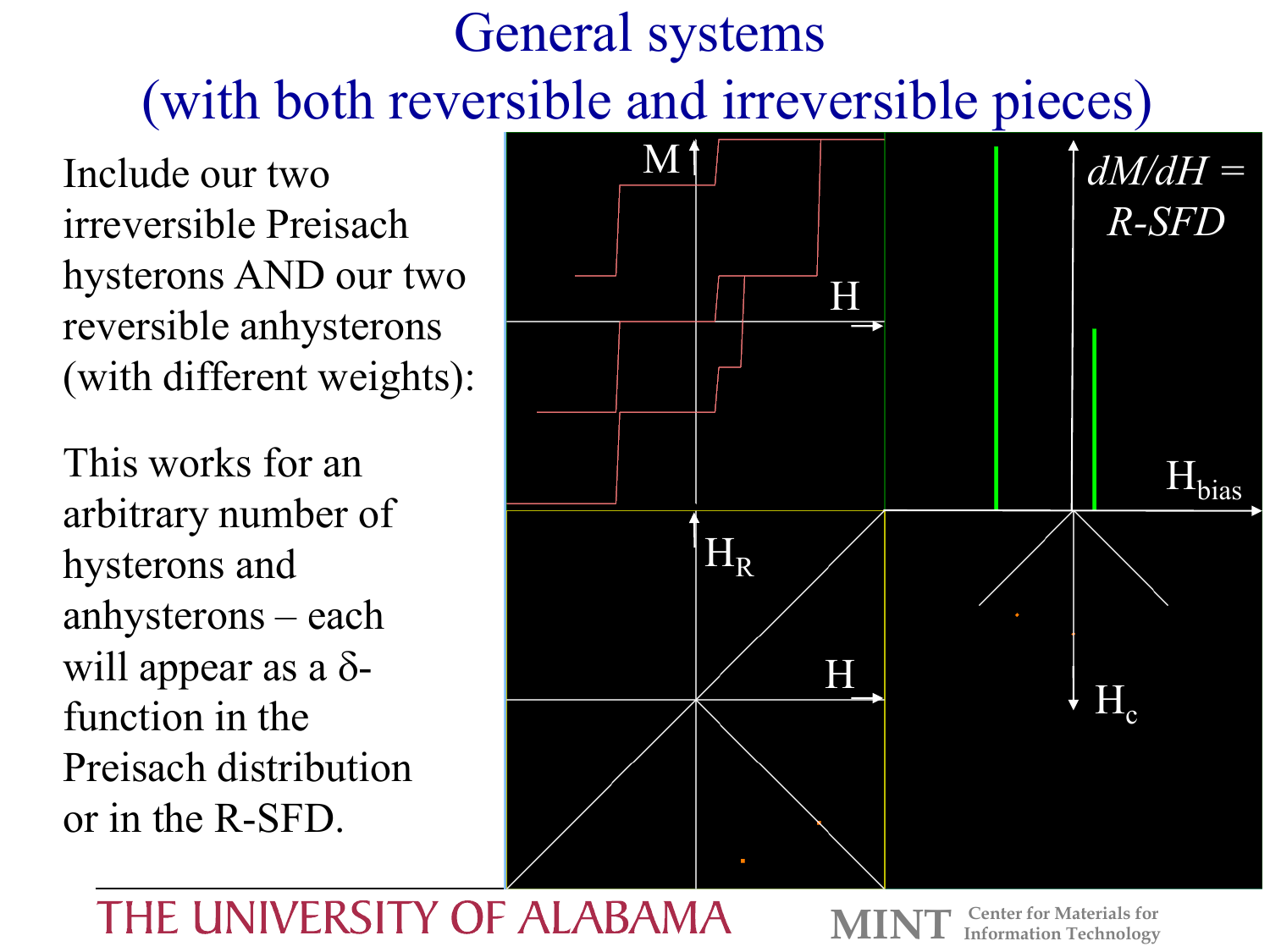# General systems (with both reversible and irreversible pieces)

Include our two irreversible Preisach hysterons AND our two reversible anhysterons (with different weights):

This works for an arbitrary number of hysterons and anhysterons – each will appear as a  $\delta$ function in the Preisach distribution or in the R-SFD.



#### THE UNIVERSITY OF ALABAMA

**Center for Materials for<br><b>Information Technology**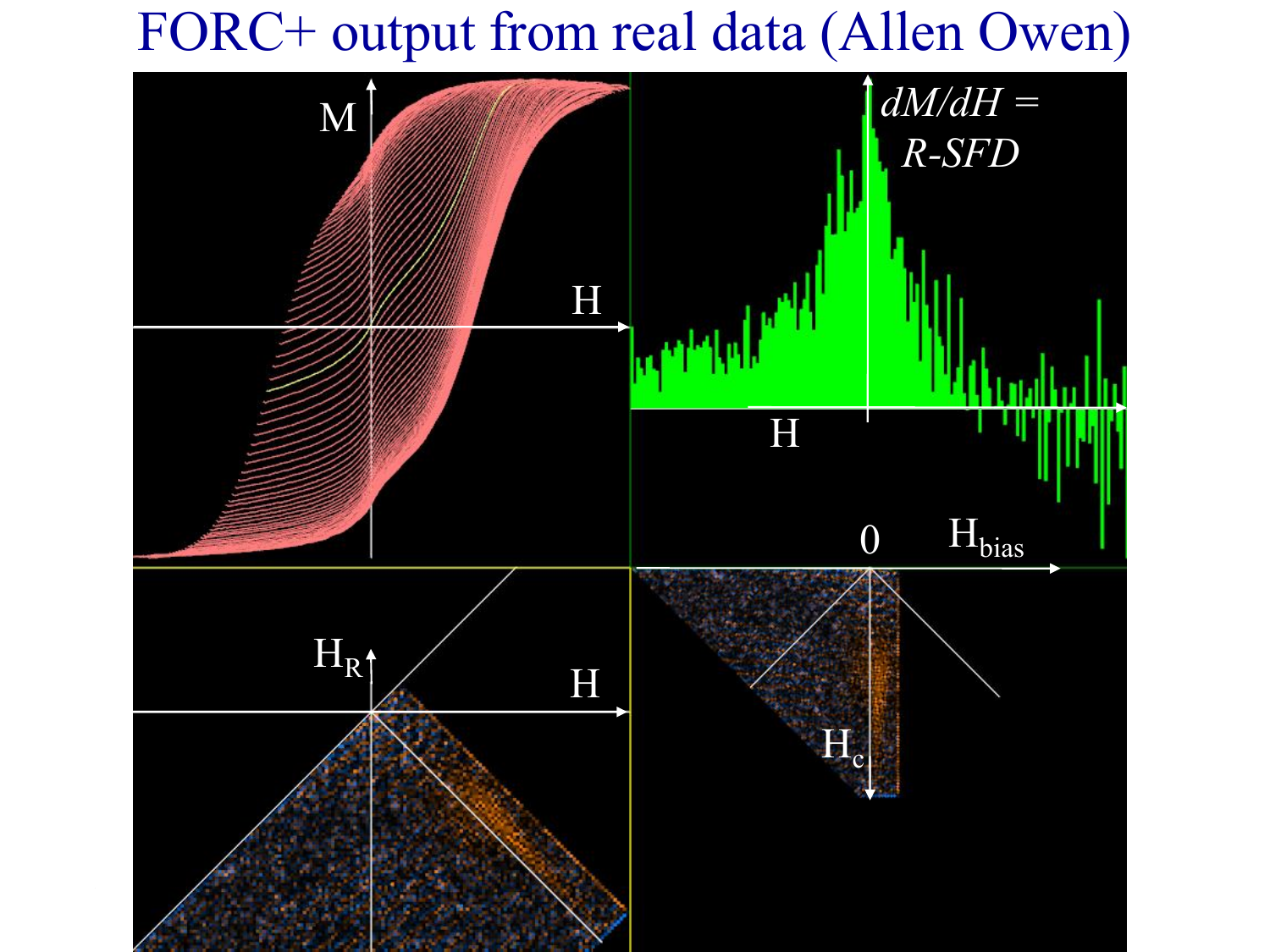### FORC+ output from real data (Allen Owen)